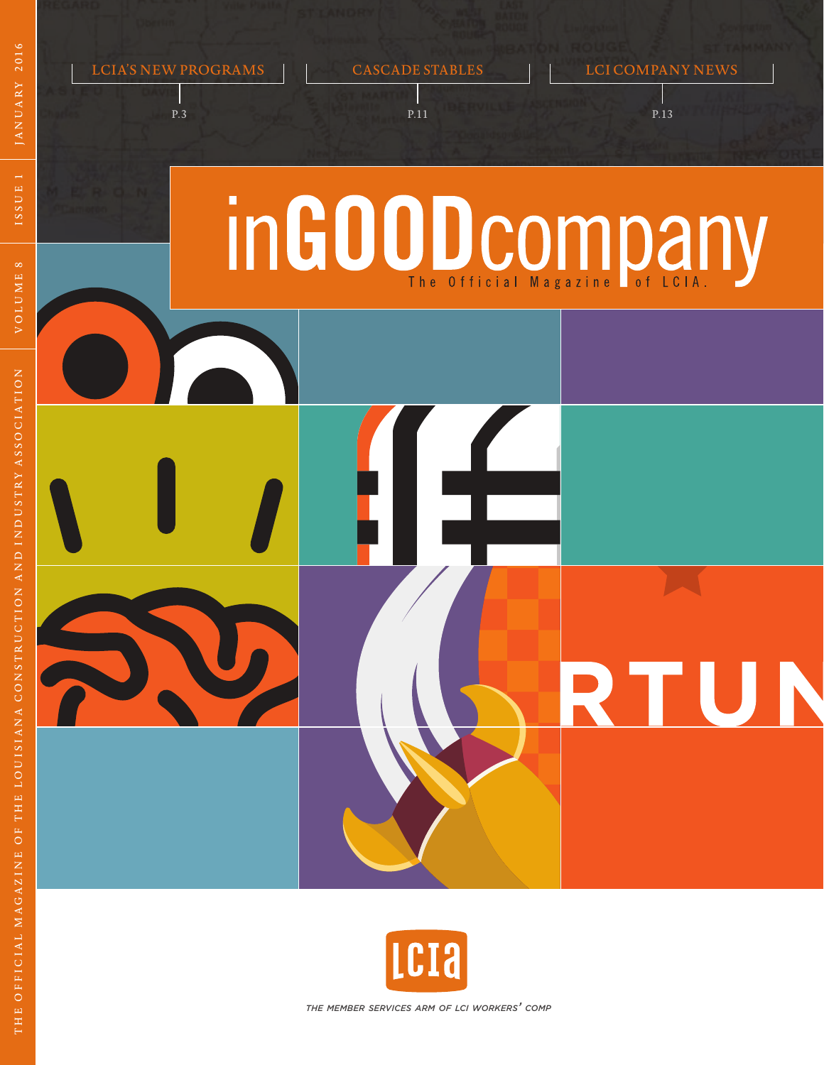

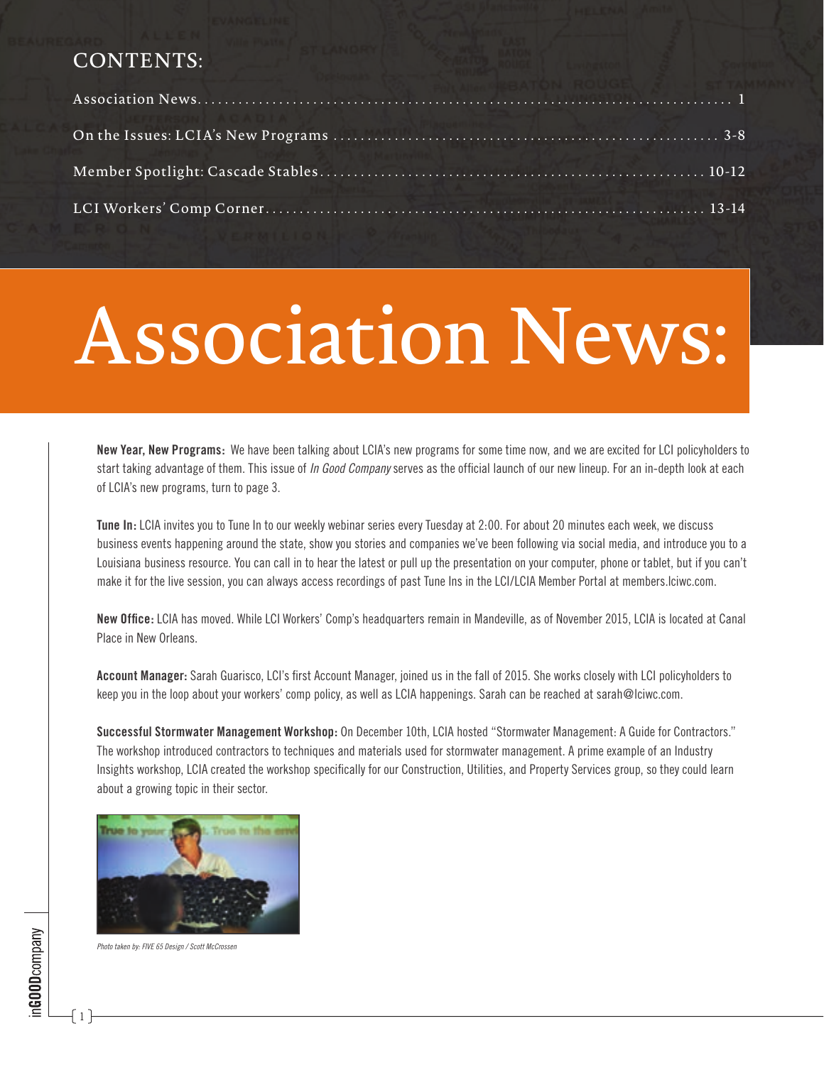#### CONTENTS:

| <b>NATIONAL ACADI</b> |  |
|-----------------------|--|
|                       |  |
|                       |  |

# Association News:

**New Year, New Programs:** We have been talking about LCIA's new programs for some time now, and we are excited for LCI policyholders to start taking advantage of them. This issue of *In Good Company* serves as the official launch of our new lineup. For an in-depth look at each of LCIA's new programs, turn to page 3.

**Tune In:** LCIA invites you to Tune In to our weekly webinar series every Tuesday at 2:00. For about 20 minutes each week, we discuss business events happening around the state, show you stories and companies we've been following via social media, and introduce you to a Louisiana business resource. You can call in to hear the latest or pull up the presentation on your computer, phone or tablet, but if you can't make it for the live session, you can always access recordings of past Tune Ins in the LCI/LCIA Member Portal at members.lciwc.com.

**New Office:** LCIA has moved. While LCI Workers' Comp's headquarters remain in Mandeville, as of November 2015, LCIA is located at Canal Place in New Orleans.

**Account Manager:** Sarah Guarisco, LCI's first Account Manager, joined us in the fall of 2015. She works closely with LCI policyholders to keep you in the loop about your workers' comp policy, as well as LCIA happenings. Sarah can be reached at sarah@lciwc.com.

**Successful Stormwater Management Workshop:** On December 10th, LCIA hosted "Stormwater Management: A Guide for Contractors." The workshop introduced contractors to techniques and materials used for stormwater management. A prime example of an Industry Insights workshop, LCIA created the workshop specifically for our Construction, Utilities, and Property Services group, so they could learn about a growing topic in their sector.





1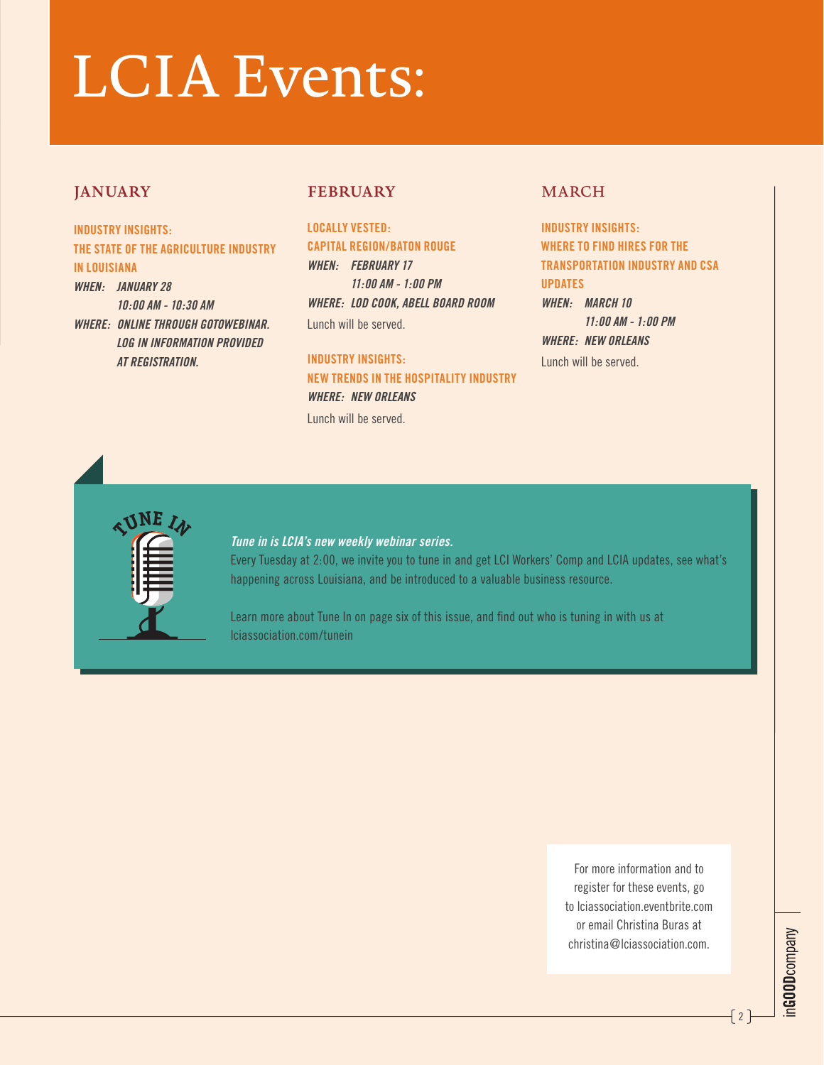# LCIA Events:

#### **JANUARY**

**INDUSTRY INSIGHTS: THE STATE OF THE AGRICULTURE INDUSTRY IN LOUISIANA** *WHEN: JANUARY 28 10:00 AM - 10:30 AM WHERE: ONLINE THROUGH GOTOWEBINAR. LOG IN INFORMATION PROVIDED AT REGISTRATION.*

#### **FEBRUARY**

**LOCALLY VESTED: CAPITAL REGION/BATON ROUGE**  *WHEN: FEBRUARY 17 11:00 AM - 1:00 PM WHERE: LOD COOK, ABELL BOARD ROOM* Lunch will be served.

**INDUSTRY INSIGHTS: NEW TRENDS IN THE HOSPITALITY INDUSTRY** *WHERE: NEW ORLEANS* Lunch will be served.

#### MARCH

**INDUSTRY INSIGHTS: WHERE TO FIND HIRES FOR THE TRANSPORTATION INDUSTRY AND CSA UPDATES** *WHEN: MARCH 10 11:00 AM - 1:00 PM WHERE: NEW ORLEANS*

Lunch will be served.



#### *Tune in is LCIA's new weekly webinar series.*

Every Tuesday at 2:00, we invite you to tune in and get LCI Workers' Comp and LCIA updates, see what's happening across Louisiana, and be introduced to a valuable business resource.

Learn more about Tune In on page six of this issue, and find out who is tuning in with us at lciassociation.com/tunein

> For more information and to register for these events, go to lciassociation eventbrite.com or email Christina Buras at christina@lciassociation.com.

 $-$ [2 ]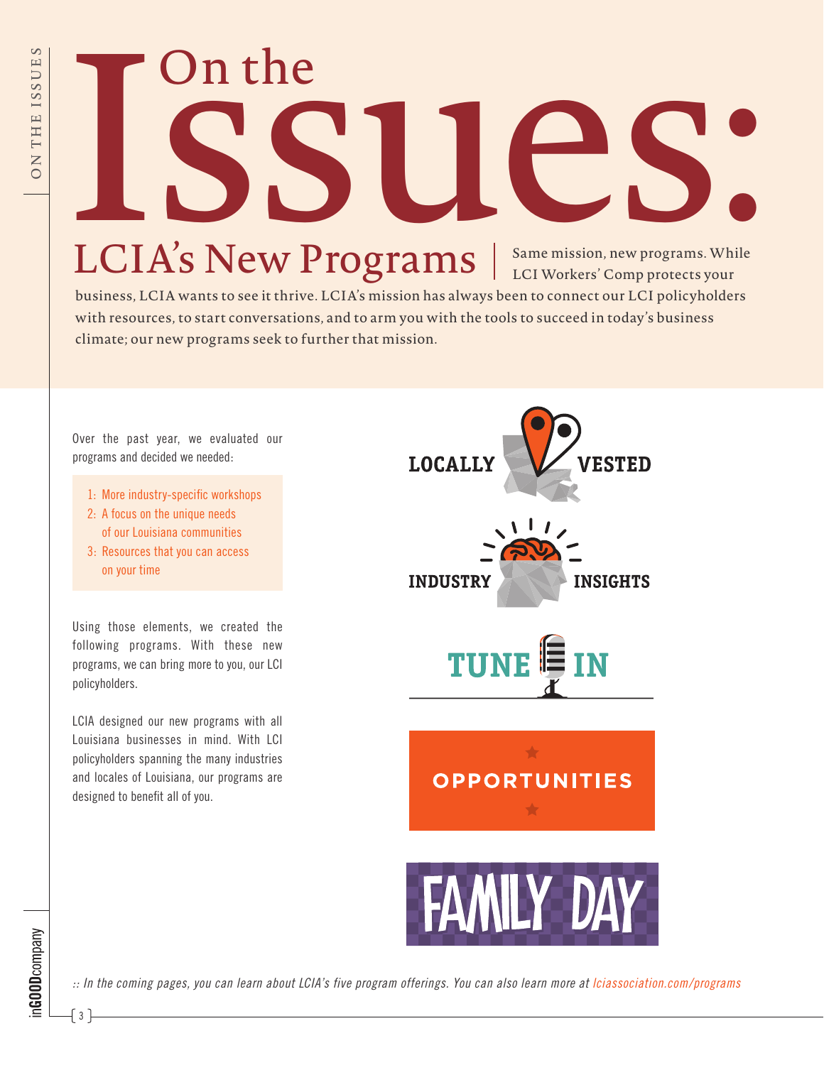# ISSUES: Same mission, new programs. While

## $LCIA's New Programs  $|$  Same mission, new programs. While LCI Workers' Comp protects your$

business, LCIA wants to see it thrive. LCIA's mission has always been to connect our LCI policyholders with resources, to start conversations, and to arm you with the tools to succeed in today's business climate; our new programs seek to further that mission.



*:: In the coming pages, you can learn about LCIA's five program offerings. You can also learn more at lciassociation.com/programs*

 $\{3\}$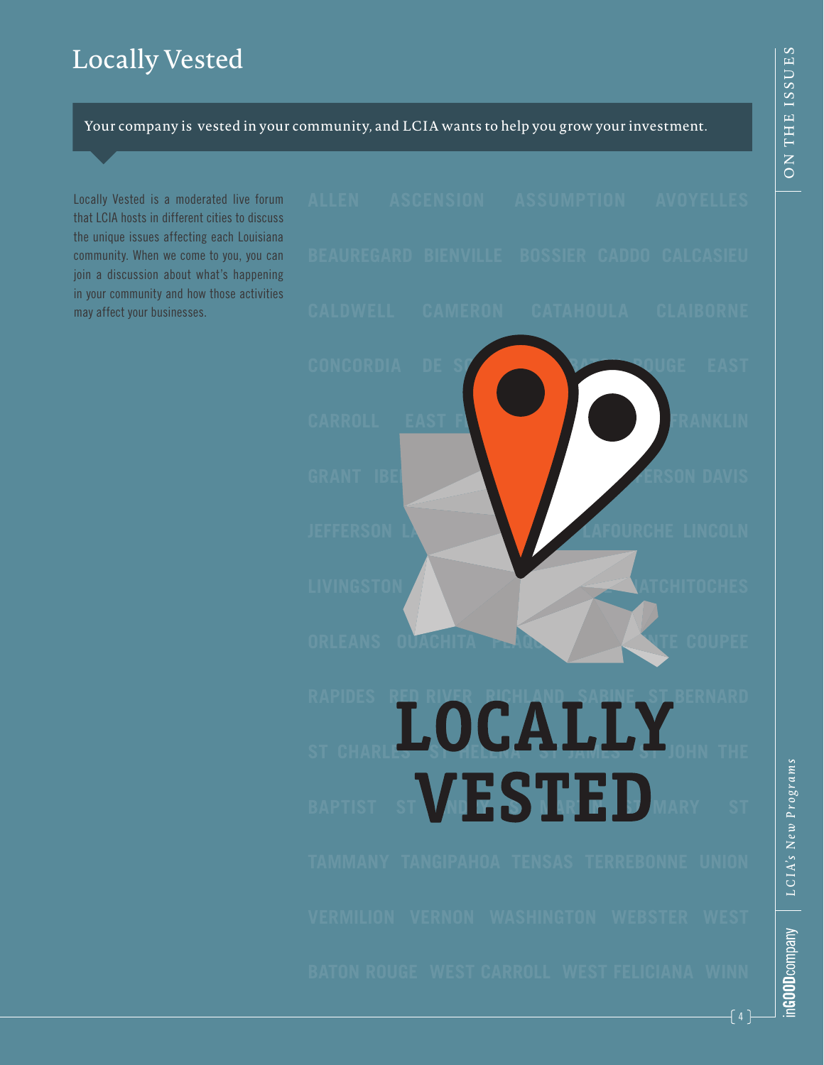#### Locally Vested

Your company is vested in your community, and LCIA wants to help you grow your investment.

Locally Vested is a moderated live forum that LCIA hosts in different cities to discuss the unique issues affecting each Louisiana community. When we come to you, you can join a discussion about what's happening in your community and how those activities may affect your businesses.

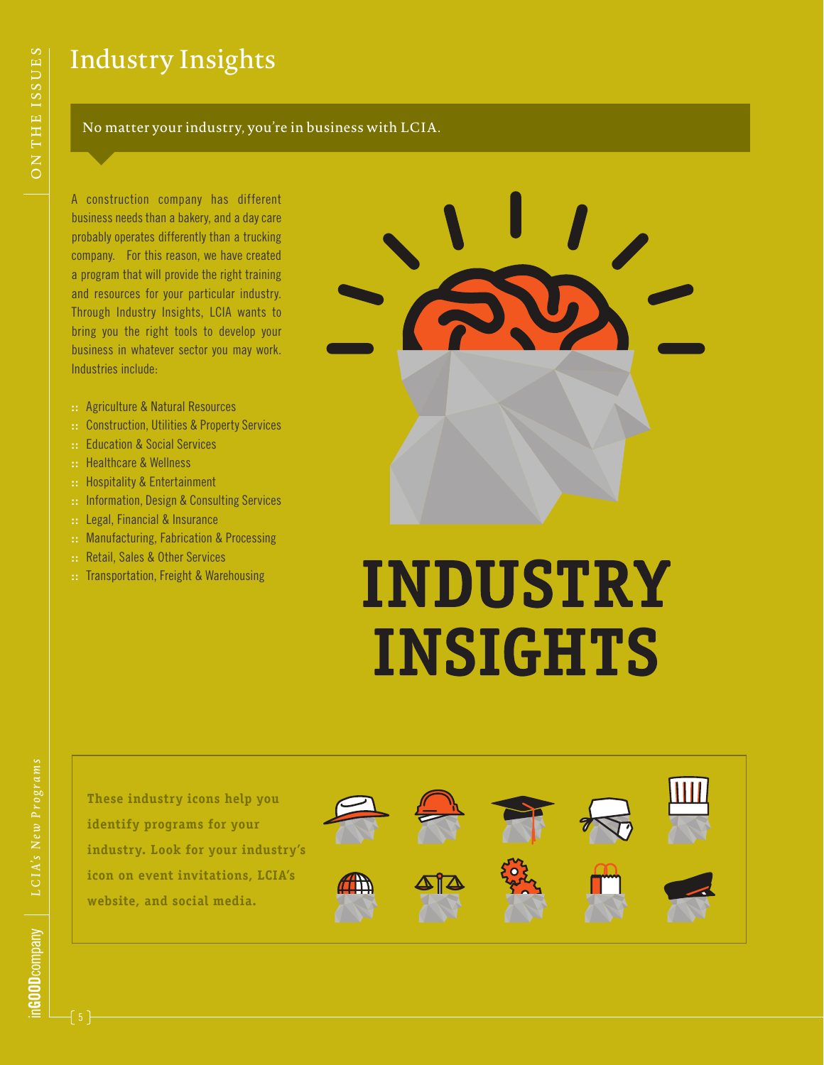#### Industry Insights

#### No matter your industry, you're in business with LCIA.

A construction company has different business needs than a bakery, and a day care probably operates differently than a trucking company. For this reason, we have created a program that will provide the right training and resources for your particular industry. Through Industry Insights, LCIA wants to bring you the right tools to develop your business in whatever sector you may work. Industries include:

- **::** Agriculture & Natural Resources
- **::** Construction, Utilities & Property Services
- **::** Education & Social Services
- **::** Healthcare & Wellness
- **::** Hospitality & Entertainment
- **::** Information, Design & Consulting Services
- **::** Legal, Financial & Insurance
- **::** Manufacturing, Fabrication & Processing
- **::** Retail, Sales & Other Services
- **::** Transportation, Freight & Warehousing



# **INDUSTRY INSIGHTS**

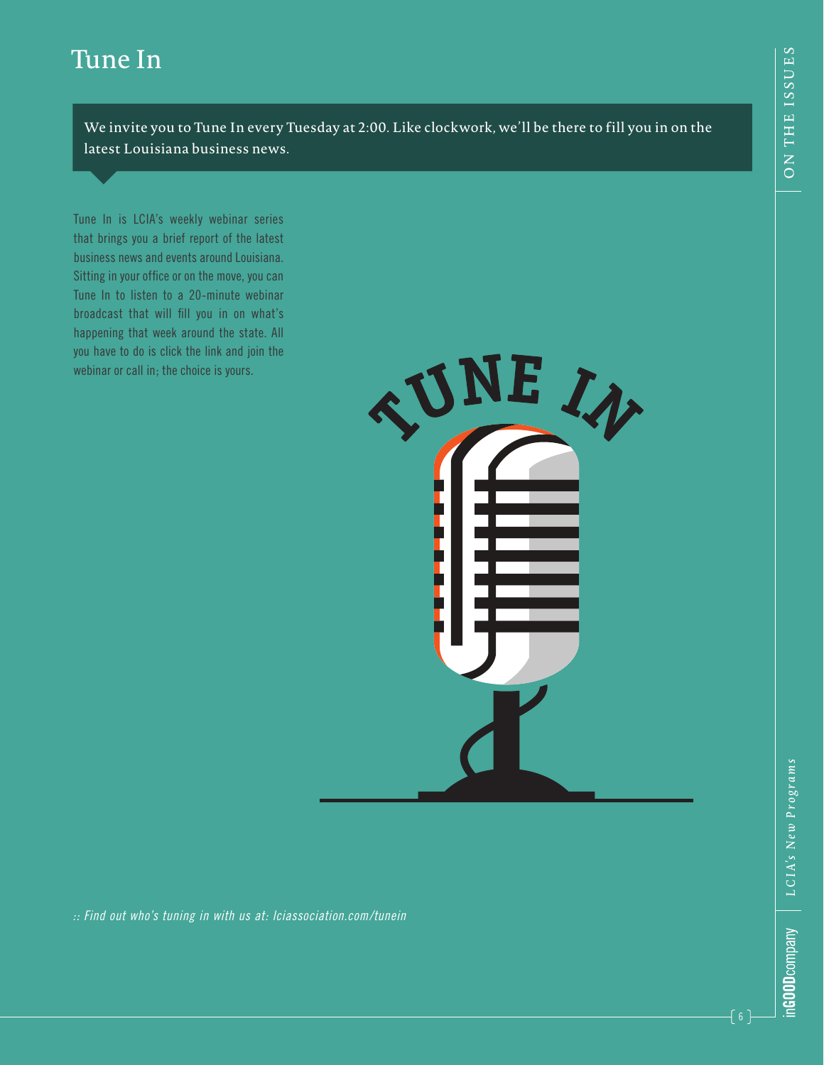#### Tune In

We invite you to Tune In every Tuesday at 2:00. Like clockwork, we'll be there to fill you in on the latest Louisiana business news.

Tune In is LCIA's weekly webinar series that brings you a brief report of the latest business news and events around Louisiana. Sitting in your office or on the move, you can Tune In to listen to a 20-minute webinar broadcast that will fill you in on what's happening that week around the state. All you have to do is click the link and join the webinar or call in; the choice is yours.



*:: Find out who's tuning in with us at: lciassociation.com/tunein*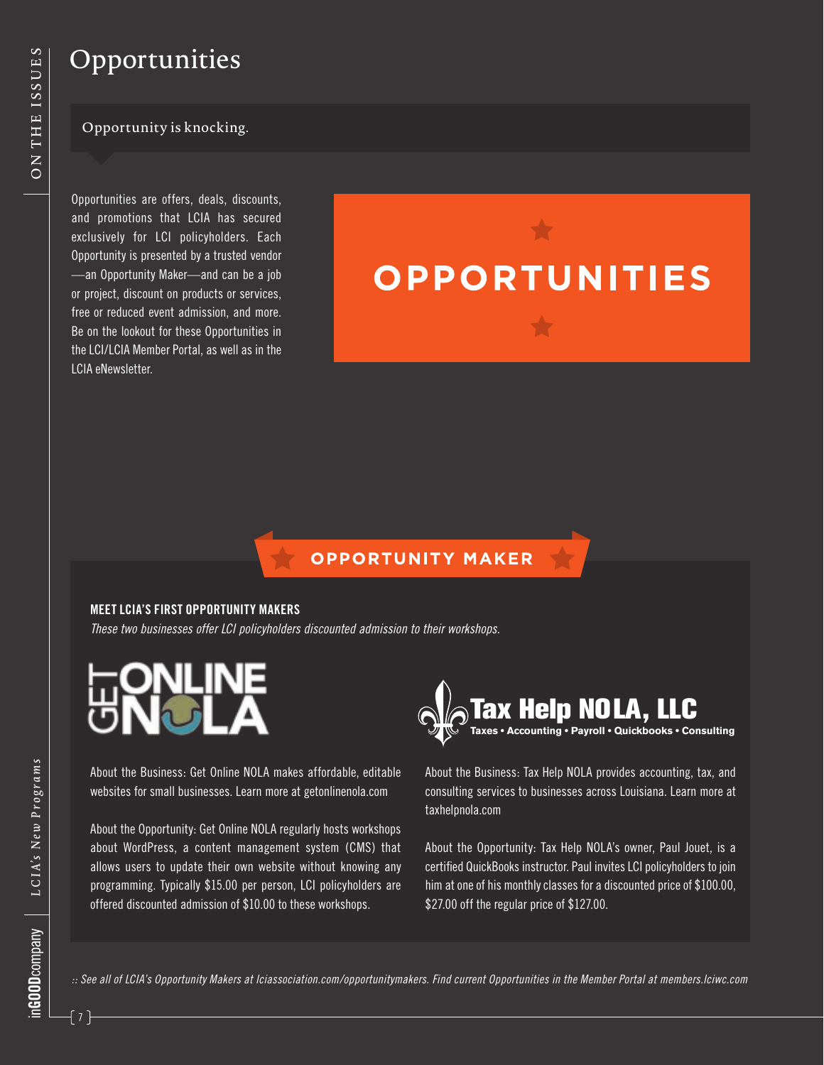#### Opportunities

#### Opportunity is knocking.

Opportunities are offers, deals, discounts, and promotions that LCIA has secured exclusively for LCI policyholders. Each Opportunity is presented by a trusted vendor —an Opportunity Maker—and can be a job or project, discount on products or services, free or reduced event admission, and more. Be on the lookout for these Opportunities in the LCI/LCIA Member Portal, as well as in the LCIA eNewsletter.

# **OPPORTUNITIES**

#### **OPPORTUNITY MAKER**

#### **MEET LCIA'S FIRST OPPORTUNITY MAKERS**

*These two businesses offer LCI policyholders discounted admission to their workshops.*

About the Business: Get Online NOLA makes affordable, editable websites for small businesses. Learn more at getonlinenola.com

About the Opportunity: Get Online NOLA regularly hosts workshops about WordPress, a content management system (CMS) that allows users to update their own website without knowing any programming. Typically \$15.00 per person, LCI policyholders are offered discounted admission of \$10.00 to these workshops.



About the Business: Tax Help NOLA provides accounting, tax, and consulting services to businesses across Louisiana. Learn more at taxhelpnola.com

About the Opportunity: Tax Help NOLA's owner, Paul Jouet, is a certified QuickBooks instructor. Paul invites LCI policyholders to join him at one of his monthly classes for a discounted price of \$100.00, \$27.00 off the regular price of \$127.00.

*:: See all of LCIA's Opportunity Makers at lciassociation.com/opportunitymakers. Find current Opportunities in the Member Portal at members.lciwc.com*

 $\{7\}$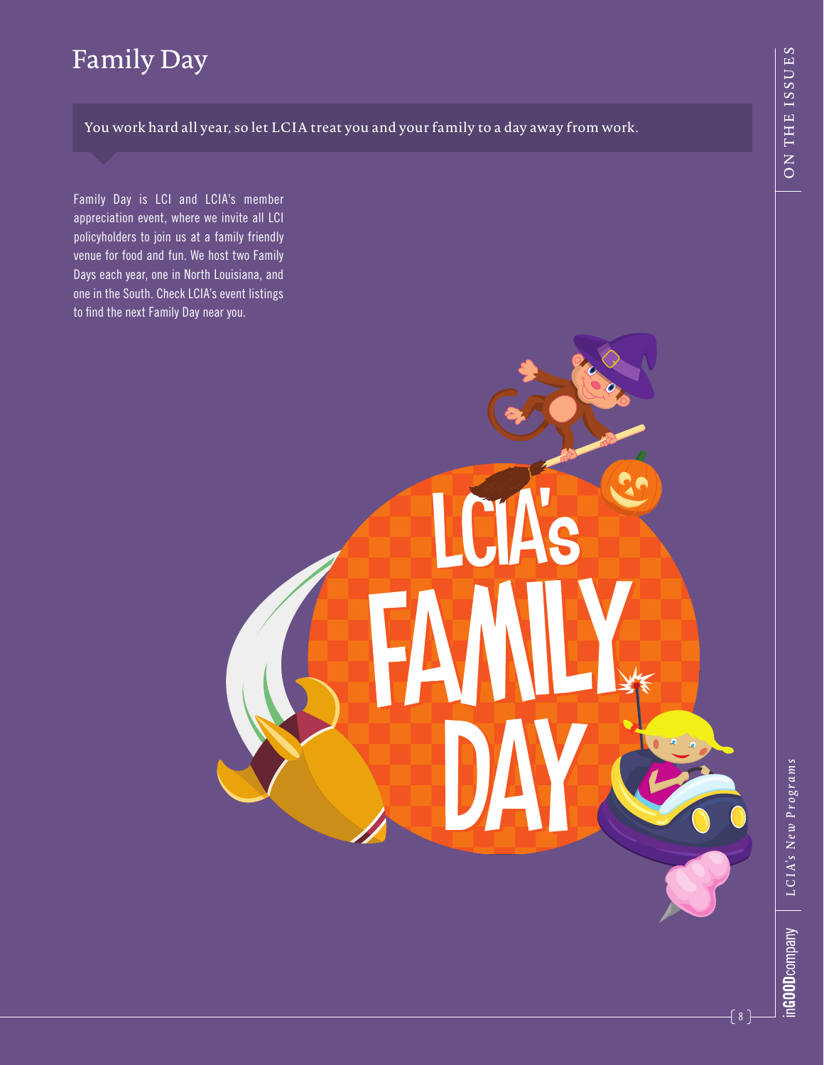#### Family Day

You work hard all year, so let LCIA treat you and your family to a day away from work.

Family Day is LCI and LCIA's member appreciation event, where we invite all LCI policyholders to join us at a family friendly venue for food and fun. We host two Family Days each year, one in North Louisiana, and one in the South. Check LCIA's event listings to find the next Family Day near you.

 $\{ 8 \}$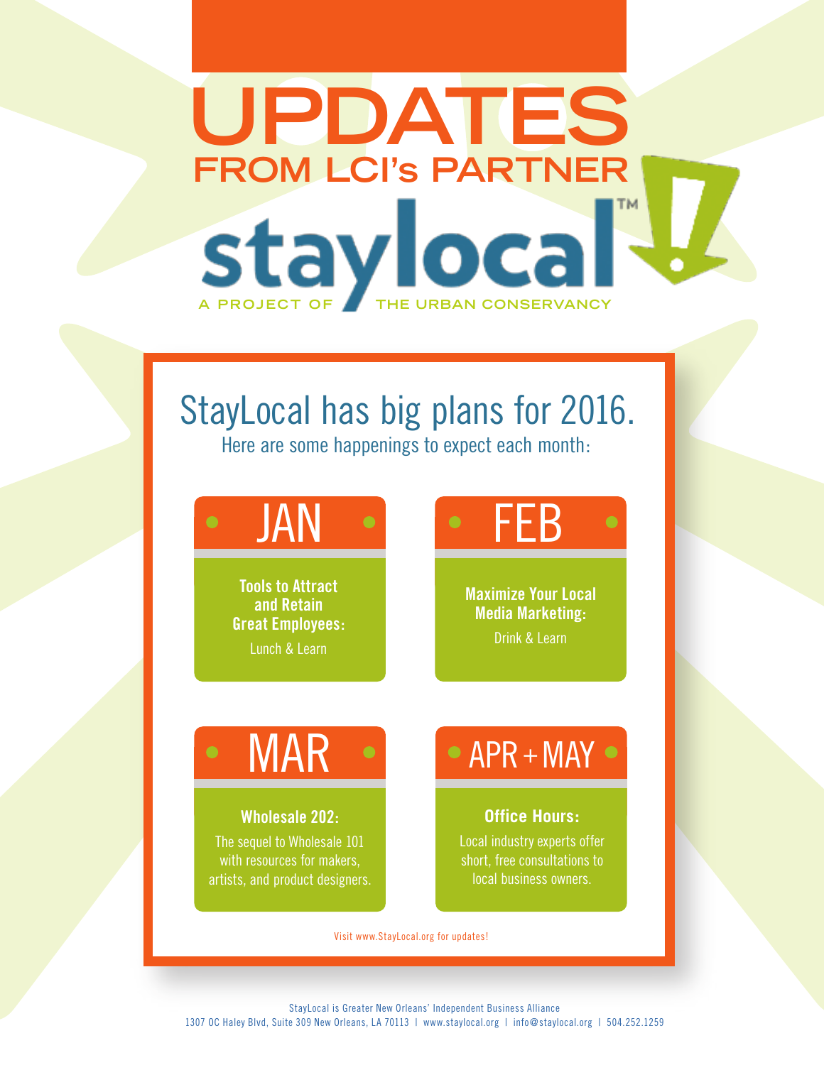# **UPDATES FROM LCI's PARTNER** TM. **A PROJECT OF THE URBAN CONSERVANCY**

### StayLocal has big plans for 2016.

Here are some happenings to expect each month:

**Tools to Attract and Retain Great Employees:** Lunch & Learn

## JAN • FEB

**Maximize Your Local Media Marketing:**  Drink & Learn

#### **Wholesale 202:**

The sequel to Wholesale 101 with resources for makers, artists, and product designers.

### $AR \rightarrow \bullet$  APR+MAY

#### **Office Hours:**

Local industry experts offer short, free consultations to local business owners.

Visit www.StayLocal.org for updates!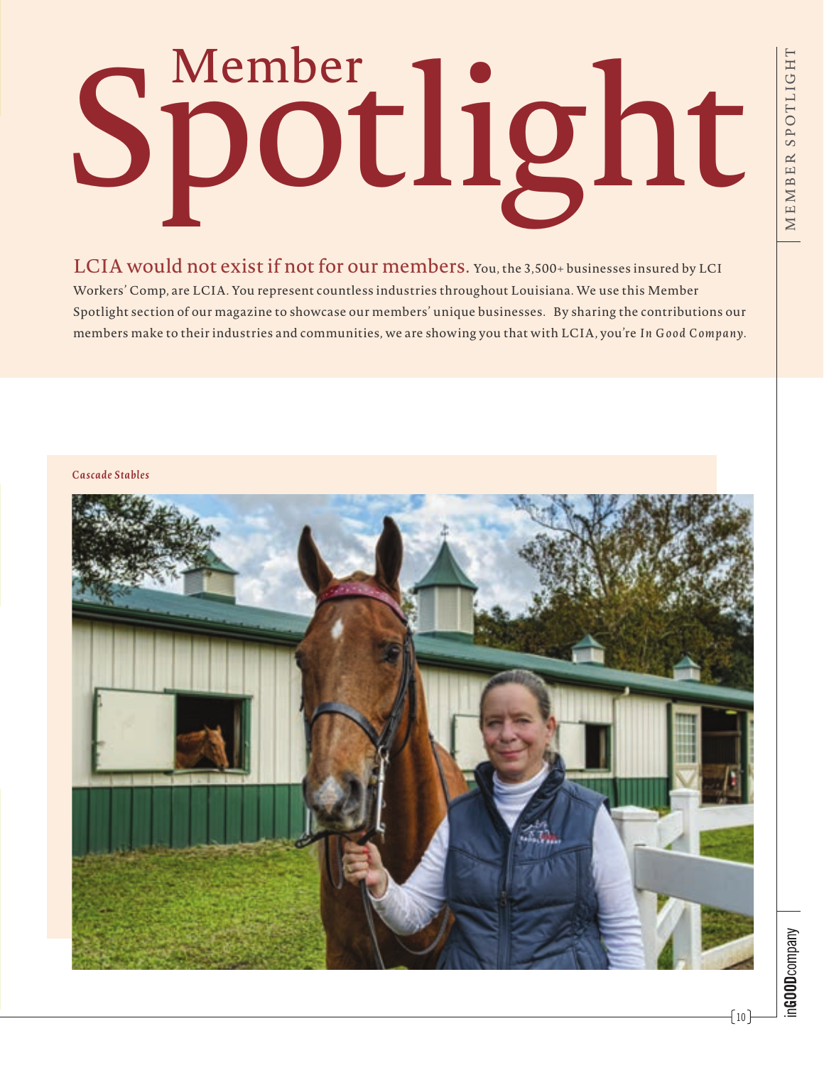# Spotlight

LCIA would not exist if not for our members. You, the 3,500+ businesses insured by LCI Workers' Comp, are LCIA. You represent countless industries throughout Louisiana. We use this Member Spotlight section of our magazine to showcase our members' unique businesses. By sharing the contributions our members make to their industries and communities, we are showing you that with LCIA, you're *In Good Company*.



 $-10$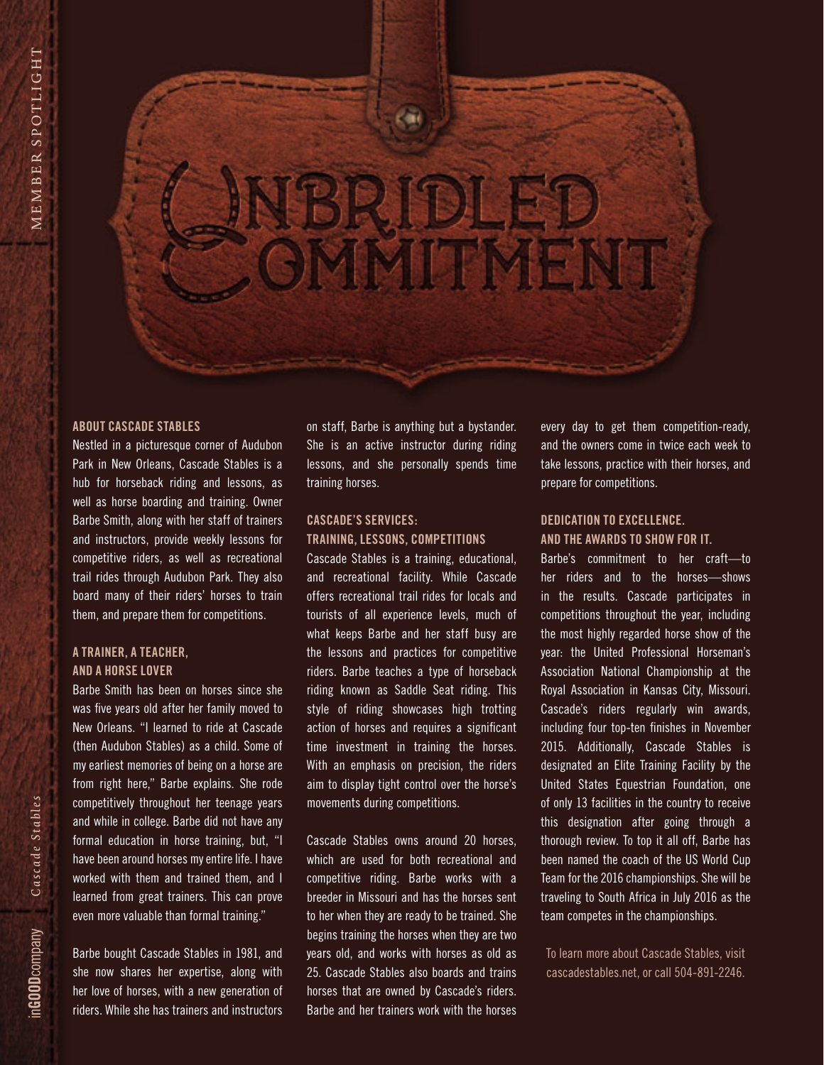# œ JBRIDLED<br>OMMITMENT

#### **ABOUT CASCADE STABLES**

Nestled in a picturesque corner of Audubon Park in New Orleans, Cascade Stables is a hub for horseback riding and lessons, as well as horse boarding and training. Owner Barbe Smith, along with her staff of trainers and instructors, provide weekly lessons for competitive riders, as well as recreational trail rides through Audubon Park. They also board many of their riders' horses to train them, and prepare them for competitions.

#### **A TRAINER, A TEACHER, AND A HORSE LOVER**

Barbe Smith has been on horses since she was five years old after her family moved to New Orleans. "I learned to ride at Cascade (then Audubon Stables) as a child. Some of my earliest memories of being on a horse are from right here," Barbe explains. She rode competitively throughout her teenage years and while in college. Barbe did not have any formal education in horse training, but, "I have been around horses my entire life. I have worked with them and trained them, and I learned from great trainers. This can prove even more valuable than formal training."

Barbe bought Cascade Stables in 1981, and she now shares her expertise, along with her love of horses, with a new generation of riders. While she has trainers and instructors on staff, Barbe is anything but a bystander. She is an active instructor during riding lessons, and she personally spends time training horses.

#### **CASCADE'S SERVICES: TRAINING, LESSONS, COMPETITIONS**

Cascade Stables is a training, educational, and recreational facility. While Cascade offers recreational trail rides for locals and tourists of all experience levels, much of what keeps Barbe and her staff busy are the lessons and practices for competitive riders. Barbe teaches a type of horseback riding known as Saddle Seat riding. This style of riding showcases high trotting action of horses and requires a significant time investment in training the horses. With an emphasis on precision, the riders aim to display tight control over the horse's movements during competitions.

Cascade Stables owns around 20 horses, which are used for both recreational and competitive riding. Barbe works with a breeder in Missouri and has the horses sent to her when they are ready to be trained. She begins training the horses when they are two years old, and works with horses as old as 25. Cascade Stables also boards and trains horses that are owned by Cascade's riders. Barbe and her trainers work with the horses

every day to get them competition-ready, and the owners come in twice each week to take lessons, practice with their horses, and prepare for competitions.

#### **DEDICATION TO EXCELLENCE. AND THE AWARDS TO SHOW FOR IT.**

Barbe's commitment to her craft—to her riders and to the horses—shows in the results. Cascade participates in competitions throughout the year, including the most highly regarded horse show of the year: the United Professional Horseman's Association National Championship at the Royal Association in Kansas City, Missouri. Cascade's riders regularly win awards, including four top-ten finishes in November 2015. Additionally, Cascade Stables is designated an Elite Training Facility by the United States Equestrian Foundation, one of only 13 facilities in the country to receive this designation after going through a thorough review. To top it all off, Barbe has been named the coach of the US World Cup Team for the 2016 championships. She will be traveling to South Africa in July 2016 as the team competes in the championships.

To learn more about Cascade Stables, visit cascadestables.net, or call 504-891-2246.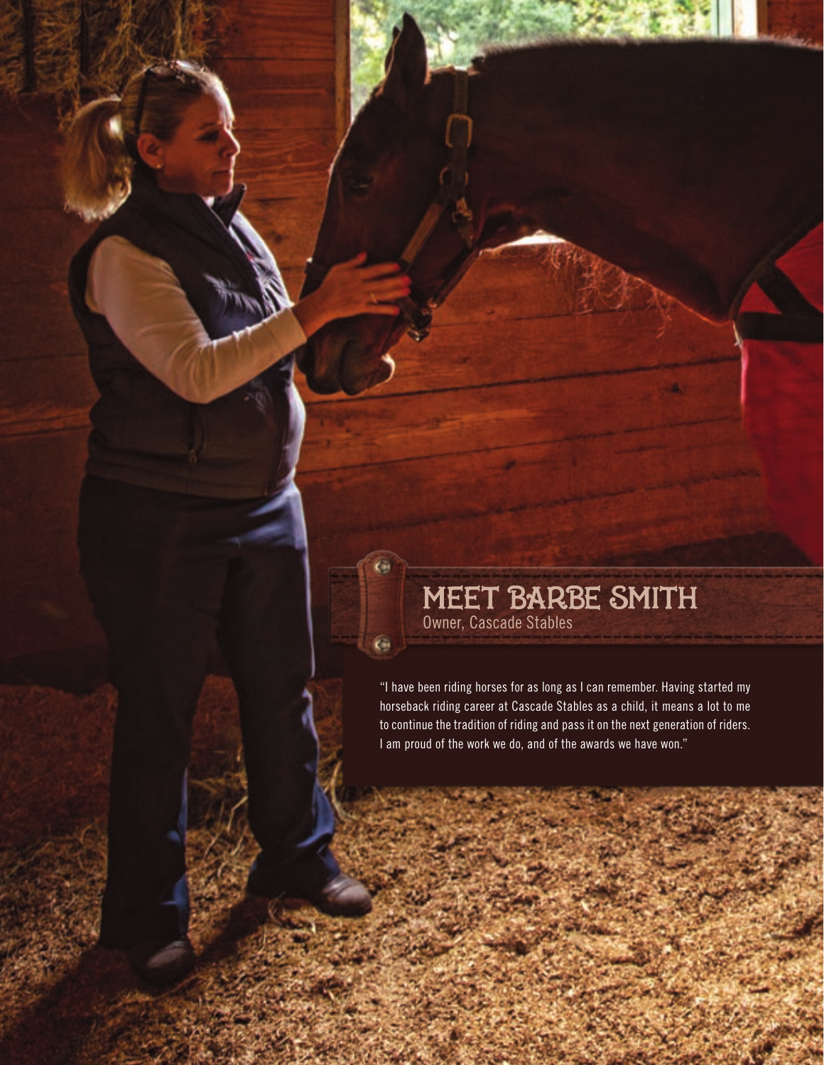# **MEET BARBE SMITH**

œ

 $\oplus$ 

"I have been riding horses for as long as I can remember. Having started my horseback riding career at Cascade Stables as a child, it means a lot to me to continue the tradition of riding and pass it on the next generation of riders. I am proud of the work we do, and of the awards we have won."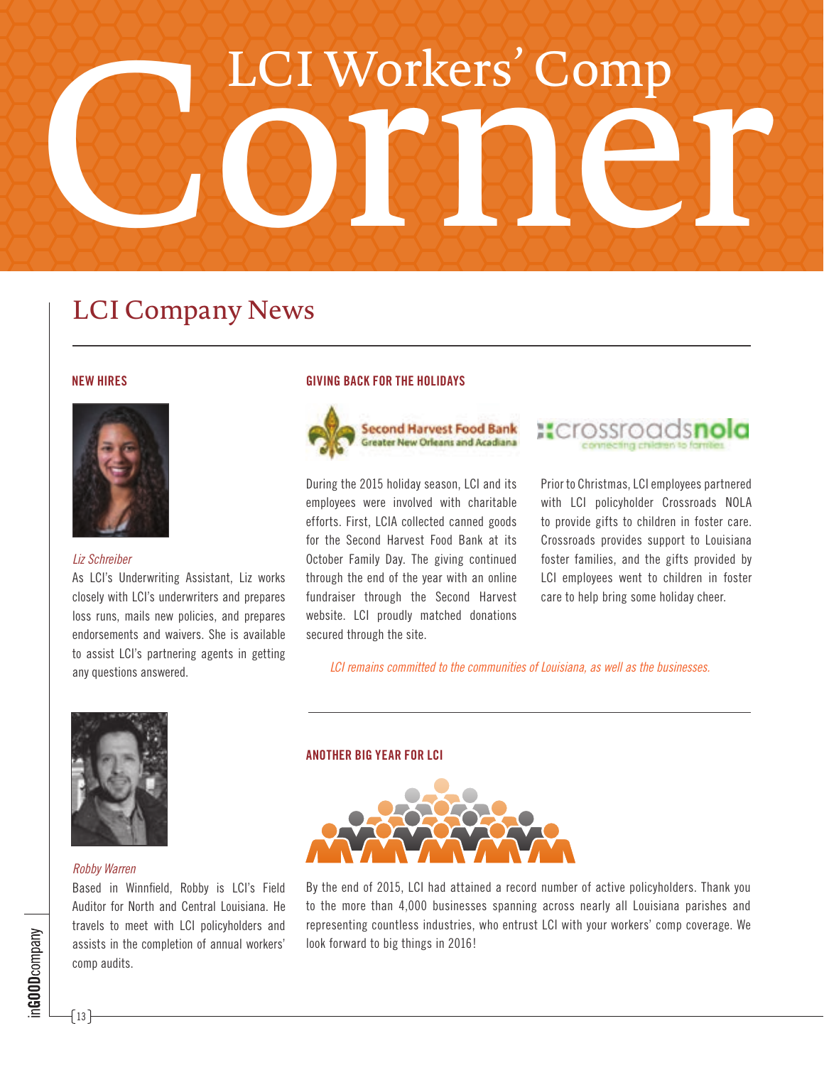# LCI Workers' Comp

#### LCI Company News

#### **NEW HIRES**



#### *Liz Schreiber*

As LCI's Underwriting Assistant, Liz works closely with LCI's underwriters and prepares loss runs, mails new policies, and prepares endorsements and waivers. She is available to assist LCI's partnering agents in getting any questions answered.

#### **GIVING BACK FOR THE HOLIDAYS**



During the 2015 holiday season, LCI and its employees were involved with charitable efforts. First, LCIA collected canned goods for the Second Harvest Food Bank at its October Family Day. The giving continued through the end of the year with an online fundraiser through the Second Harvest website. LCI proudly matched donations secured through the site.



Prior to Christmas, LCI employees partnered with LCI policyholder Crossroads NOLA to provide gifts to children in foster care. Crossroads provides support to Louisiana foster families, and the gifts provided by LCI employees went to children in foster care to help bring some holiday cheer.

*LCI remains committed to the communities of Louisiana, as well as the businesses.*



#### *Robby Warren*

Based in Winnfield, Robby is LCI's Field Auditor for North and Central Louisiana. He travels to meet with LCI policyholders and assists in the completion of annual workers' comp audits.

#### **ANOTHER BIG YEAR FOR LCI**



By the end of 2015, LCI had attained a record number of active policyholders. Thank you to the more than 4,000 businesses spanning across nearly all Louisiana parishes and representing countless industries, who entrust LCI with your workers' comp coverage. We look forward to big things in 2016!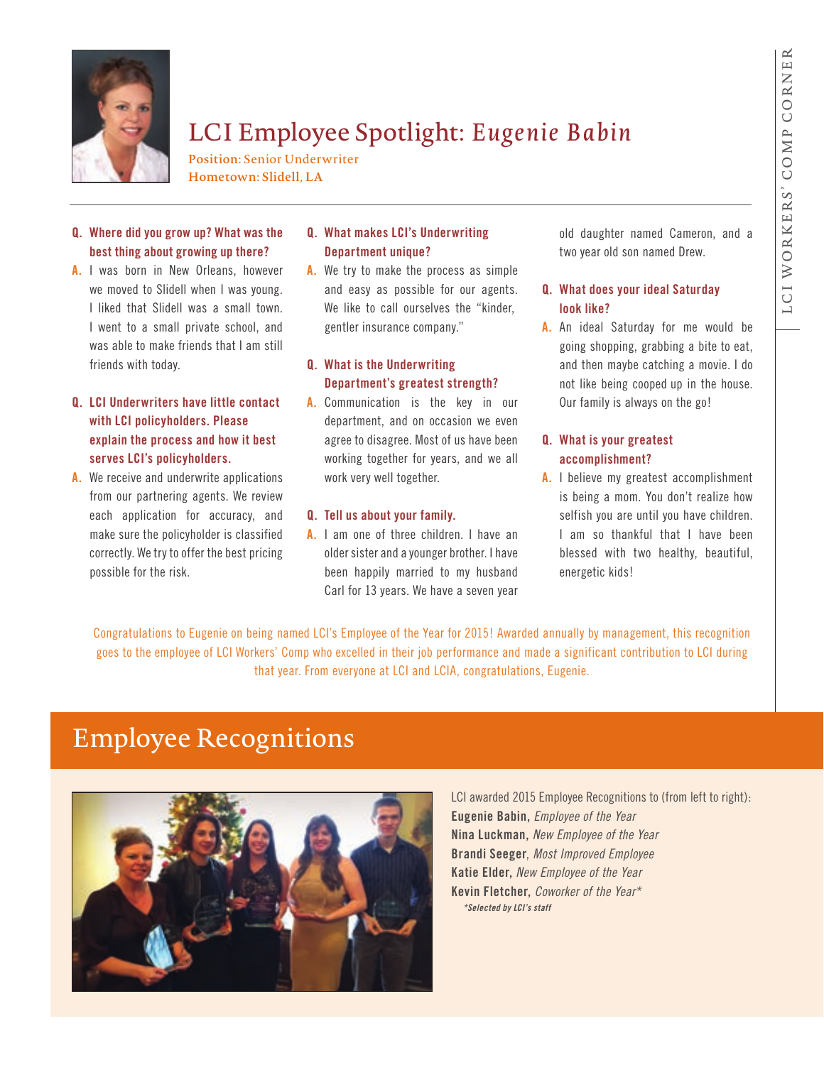

#### LCI Employee Spotlight: *Eugenie Babin*

**Position:** Senior Underwriter **Hometown: Slidell, LA**

#### **Q. Where did you grow up? What was the best thing about growing up there?**

**A.** I was born in New Orleans, however we moved to Slidell when I was young. I liked that Slidell was a small town. I went to a small private school, and was able to make friends that I am still friends with today.

#### **Q. LCI Underwriters have little contact with LCI policyholders. Please explain the process and how it best serves LCI's policyholders.**

**A.** We receive and underwrite applications from our partnering agents. We review each application for accuracy, and make sure the policyholder is classified correctly. We try to offer the best pricing possible for the risk.

#### **Q. What makes LCI's Underwriting Department unique?**

**A.** We try to make the process as simple and easy as possible for our agents. We like to call ourselves the "kinder, gentler insurance company."

#### **Q. What is the Underwriting Department's greatest strength?**

**A.** Communication is the key in our department, and on occasion we even agree to disagree. Most of us have been working together for years, and we all work very well together.

#### **Q. Tell us about your family.**

**A.** I am one of three children. I have an older sister and a younger brother. I have been happily married to my husband Carl for 13 years. We have a seven year

old daughter named Cameron, and a two year old son named Drew.

#### **Q. What does your ideal Saturday look like?**

**A.** An ideal Saturday for me would be going shopping, grabbing a bite to eat, and then maybe catching a movie. I do not like being cooped up in the house. Our family is always on the go!

#### **Q. What is your greatest accomplishment?**

**A.** I believe my greatest accomplishment is being a mom. You don't realize how selfish you are until you have children. I am so thankful that I have been blessed with two healthy, beautiful, energetic kids!

Congratulations to Eugenie on being named LCI's Employee of the Year for 2015! Awarded annually by management, this recognition goes to the employee of LCI Workers' Comp who excelled in their job performance and made a significant contribution to LCI during that year. From everyone at LCI and LCIA, congratulations, Eugenie.

#### Employee Recognitions



LCI awarded 2015 Employee Recognitions to (from left to right): **Eugenie Babin,** *Employee of the Year* **Nina Luckman,** *New Employee of the Year* **Brandi Seeger**, *Most Improved Employee* **Katie Elder,** *New Employee of the Year* **Kevin Fletcher,** *Coworker of the Year\* \*Selected by LCI's staff*